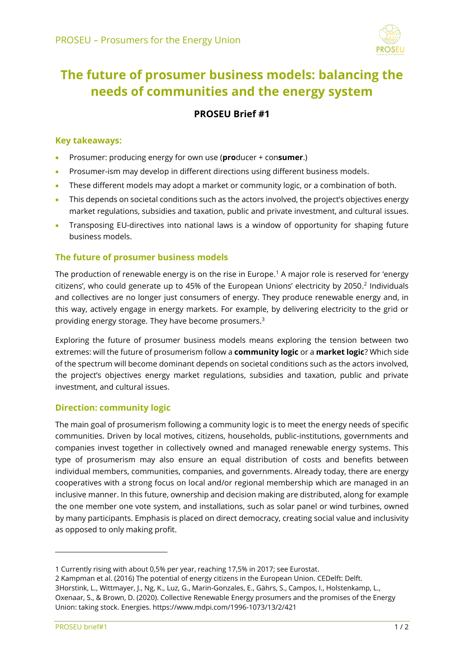

# **The future of prosumer business models: balancing the needs of communities and the energy system**

# **PROSEU Brief #1**

# **Key takeaways:**

- Prosumer: producing energy for own use (**pro**ducer + con**sumer**.)
- Prosumer-ism may develop in different directions using different business models.
- These different models may adopt a market or community logic, or a combination of both.
- This depends on societal conditions such as the actors involved, the project's objectives energy market regulations, subsidies and taxation, public and private investment, and cultural issues.
- Transposing EU-directives into national laws is a window of opportunity for shaping future business models.

## **The future of prosumer business models**

The production of renewable energy is on the rise in Europe. <sup>1</sup> A major role is reserved for 'energy citizens', who could generate up to 45% of the European Unions' electricity by 2050. 2 Individuals and collectives are no longer just consumers of energy. They produce renewable energy and, in this way, actively engage in energy markets. For example, by delivering electricity to the grid or providing energy storage. They have become prosumers. 3

Exploring the future of prosumer business models means exploring the tension between two extremes: will the future of prosumerism follow a **community logic** or a **market logic**? Which side of the spectrum will become dominant depends on societal conditions such as the actors involved, the project's objectives energy market regulations, subsidies and taxation, public and private investment, and cultural issues.

#### **Direction: community logic**

The main goal of prosumerism following a community logic is to meet the energy needs of specific communities. Driven by local motives, citizens, households, public-institutions, governments and companies invest together in collectively owned and managed renewable energy systems. This type of prosumerism may also ensure an equal distribution of costs and benefits between individual members, communities, companies, and governments. Already today, there are energy cooperatives with a strong focus on local and/or regional membership which are managed in an inclusive manner. In this future, ownership and decision making are distributed, along for example the one member one vote system, and installations, such as solar panel or wind turbines, owned by many participants. Emphasis is placed on direct democracy, creating social value and inclusivity as opposed to only making profit.

l

<sup>1</sup> Currently rising with about 0,5% per year, reaching 17,5% in 2017; see Eurostat.

<sup>2</sup> Kampman et al. (2016) The potential of energy citizens in the European Union. CEDelft: Delft. 3Horstink, L., Wittmayer, J., Ng, K., Luz, G., Marin-Gonzales, E., Gährs, S., Campos, I., Holstenkamp, L., Oxenaar, S., & Brown, D. (2020). Collective Renewable Energy prosumers and the promises of the Energy Union: taking stock. Energies.<https://www.mdpi.com/1996-1073/13/2/421>